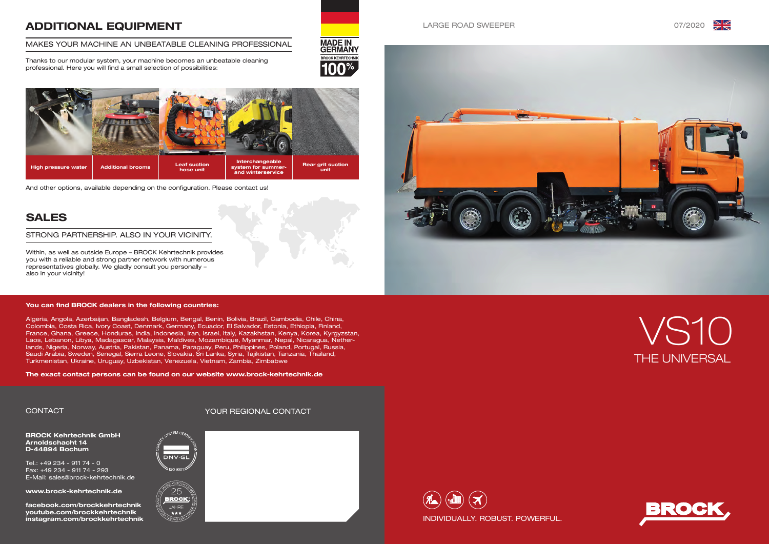

### LARGE ROAD SWEEPER **1999 120 ASSEMBLE 2012020**





# THE UNIVERSAL VS10



BROCK Kehrtechnik GmbH Arnoldschacht 14 D-44894 Bochum

Tel.: +49 234 - 911 74 - 0 Fax: +49 234 - 911 74 - 293 E-Mail: sales@brock-kehrtechnik.de

www.brock-kehrtechnik.de

facebook.com/brockkehrtechnik youtube.com/brockkehrtechnik instagram.com/brockkehrtechnik





\*\*\*







# ADDITIONAL EQUIPMENT

### MAKES YOUR MACHINE AN UNBEATABLE CLEANING PROFESSIONAL

Thanks to our modular system, your machine becomes an unbeatable cleaning professional. Here you will find a small selection of possibilities:



# SALES

Within, as well as outside Europe – BROCK Kehrtechnik provides you with a reliable and strong partner network with numerous representatives globally. We gladly consult you personally – also in your vicinity!

### STRONG PARTNERSHIP. ALSO IN YOUR VICINITY.

### CONTACT YOUR REGIONAL CONTACT

And other options, available depending on the configuration. Please contact us!

### You can find BROCK dealers in the following countries:

Algeria, Angola, Azerbaijan, Bangladesh, Belgium, Bengal, Benin, Bolivia, Brazil, Cambodia, Chile, China, Colombia, Costa Rica, Ivory Coast, Denmark, Germany, Ecuador, El Salvador, Estonia, Ethiopia, Finland, France, Ghana, Greece, Honduras, India, Indonesia, Iran, Israel, Italy, Kazakhstan, Kenya, Korea, Kyrgyzstan, Laos, Lebanon, Libya, Madagascar, Malaysia, Maldives, Mozambique, Myanmar, Nepal, Nicaragua, Netherlands, Nigeria, Norway, Austria, Pakistan, Panama, Paraguay, Peru, Philippines, Poland, Portugal, Russia, Saudi Arabia, Sweden, Senegal, Sierra Leone, Slovakia, Sri Lanka, Syria, Tajikistan, Tanzania, Thailand, Turkmenistan, Ukraine, Uruguay, Uzbekistan, Venezuela, Vietnam, Zambia, Zimbabwe

The exact contact persons can be found on our website www.brock-kehrtechnik.de